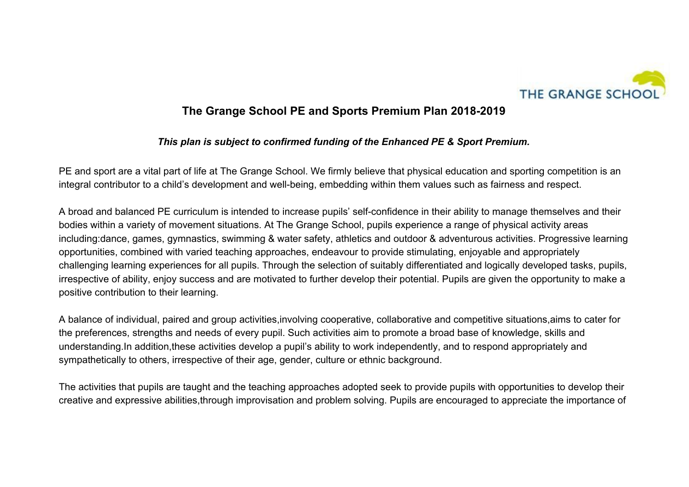

## **The Grange School PE and Sports Premium Plan 2018-2019**

## *This plan is subject to confirmed funding of the Enhanced PE & Sport Premium.*

PE and sport are a vital part of life at The Grange School. We firmly believe that physical education and sporting competition is an integral contributor to a child's development and well-being, embedding within them values such as fairness and respect.

A broad and balanced PE curriculum is intended to increase pupils' self-confidence in their ability to manage themselves and their bodies within a variety of movement situations. At The Grange School, pupils experience a range of physical activity areas including:dance, games, gymnastics, swimming & water safety, athletics and outdoor & adventurous activities. Progressive learning opportunities, combined with varied teaching approaches, endeavour to provide stimulating, enjoyable and appropriately challenging learning experiences for all pupils. Through the selection of suitably differentiated and logically developed tasks, pupils, irrespective of ability, enjoy success and are motivated to further develop their potential. Pupils are given the opportunity to make a positive contribution to their learning.

A balance of individual, paired and group activities,involving cooperative, collaborative and competitive situations,aims to cater for the preferences, strengths and needs of every pupil. Such activities aim to promote a broad base of knowledge, skills and understanding.In addition,these activities develop a pupil's ability to work independently, and to respond appropriately and sympathetically to others, irrespective of their age, gender, culture or ethnic background.

The activities that pupils are taught and the teaching approaches adopted seek to provide pupils with opportunities to develop their creative and expressive abilities,through improvisation and problem solving. Pupils are encouraged to appreciate the importance of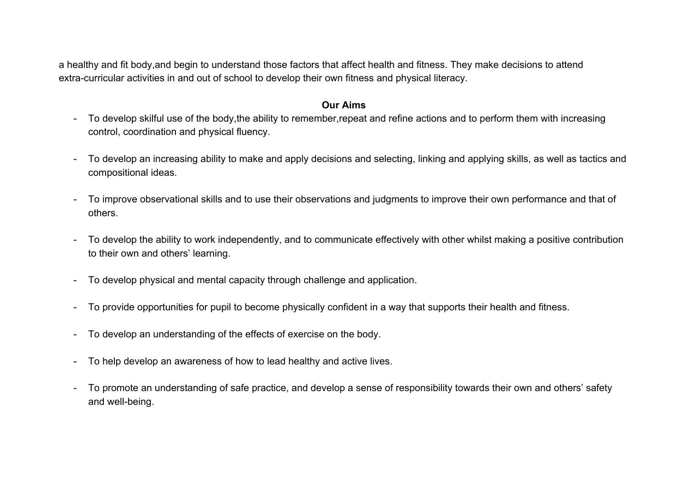a healthy and fit body,and begin to understand those factors that affect health and fitness. They make decisions to attend extra-curricular activities in and out of school to develop their own fitness and physical literacy.

## **Our Aims**

- To develop skilful use of the body,the ability to remember,repeat and refine actions and to perform them with increasing control, coordination and physical fluency.
- To develop an increasing ability to make and apply decisions and selecting, linking and applying skills, as well as tactics and compositional ideas.
- To improve observational skills and to use their observations and judgments to improve their own performance and that of others.
- To develop the ability to work independently, and to communicate effectively with other whilst making a positive contribution to their own and others' learning.
- To develop physical and mental capacity through challenge and application.
- To provide opportunities for pupil to become physically confident in a way that supports their health and fitness.
- To develop an understanding of the effects of exercise on the body.
- To help develop an awareness of how to lead healthy and active lives.
- To promote an understanding of safe practice, and develop a sense of responsibility towards their own and others' safety and well-being.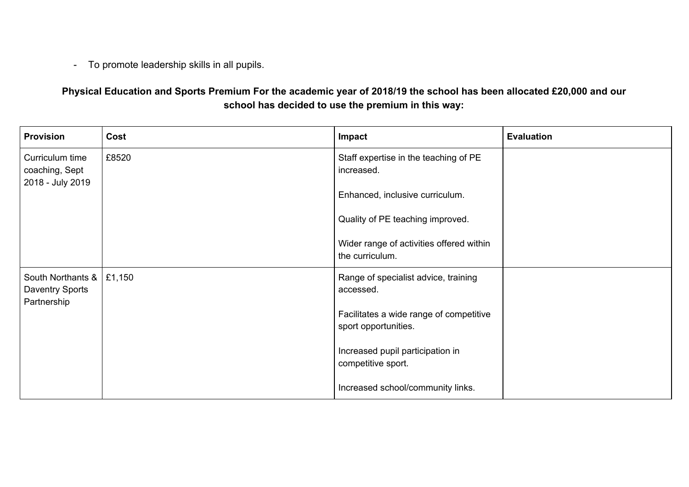- To promote leadership skills in all pupils.

**Physical Education and Sports Premium For the academic year of 2018/19 the school has been allocated £20,000 and our school has decided to use the premium in this way:**

| <b>Provision</b>                                        | Cost  | Impact                                                          | <b>Evaluation</b> |
|---------------------------------------------------------|-------|-----------------------------------------------------------------|-------------------|
| Curriculum time<br>coaching, Sept<br>2018 - July 2019   | £8520 | Staff expertise in the teaching of PE<br>increased.             |                   |
|                                                         |       | Enhanced, inclusive curriculum.                                 |                   |
|                                                         |       | Quality of PE teaching improved.                                |                   |
|                                                         |       | Wider range of activities offered within<br>the curriculum.     |                   |
| South Northants $\&$   £1,150<br><b>Daventry Sports</b> |       | Range of specialist advice, training<br>accessed.               |                   |
| Partnership                                             |       | Facilitates a wide range of competitive<br>sport opportunities. |                   |
|                                                         |       | Increased pupil participation in<br>competitive sport.          |                   |
|                                                         |       | Increased school/community links.                               |                   |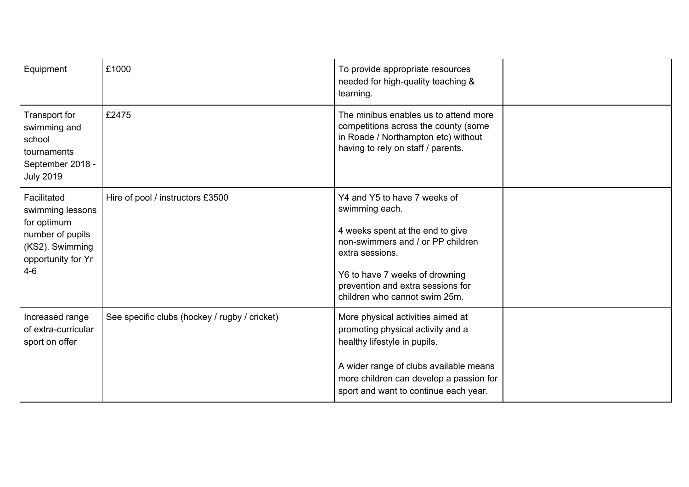| Equipment                                                                                                            | £1000                                         | To provide appropriate resources<br>needed for high-quality teaching &<br>learning.                                                                                                                                                                |  |
|----------------------------------------------------------------------------------------------------------------------|-----------------------------------------------|----------------------------------------------------------------------------------------------------------------------------------------------------------------------------------------------------------------------------------------------------|--|
| Transport for<br>swimming and<br>school<br>tournaments<br>September 2018 -<br><b>July 2019</b>                       | £2475                                         | The minibus enables us to attend more<br>competitions across the county (some<br>in Roade / Northampton etc) without<br>having to rely on staff / parents.                                                                                         |  |
| Facilitated<br>swimming lessons<br>for optimum<br>number of pupils<br>(KS2). Swimming<br>opportunity for Yr<br>$4-6$ | Hire of pool / instructors £3500              | Y4 and Y5 to have 7 weeks of<br>swimming each.<br>4 weeks spent at the end to give<br>non-swimmers and / or PP children<br>extra sessions.<br>Y6 to have 7 weeks of drowning<br>prevention and extra sessions for<br>children who cannot swim 25m. |  |
| Increased range<br>of extra-curricular<br>sport on offer                                                             | See specific clubs (hockey / rugby / cricket) | More physical activities aimed at<br>promoting physical activity and a<br>healthy lifestyle in pupils.<br>A wider range of clubs available means<br>more children can develop a passion for<br>sport and want to continue each year.               |  |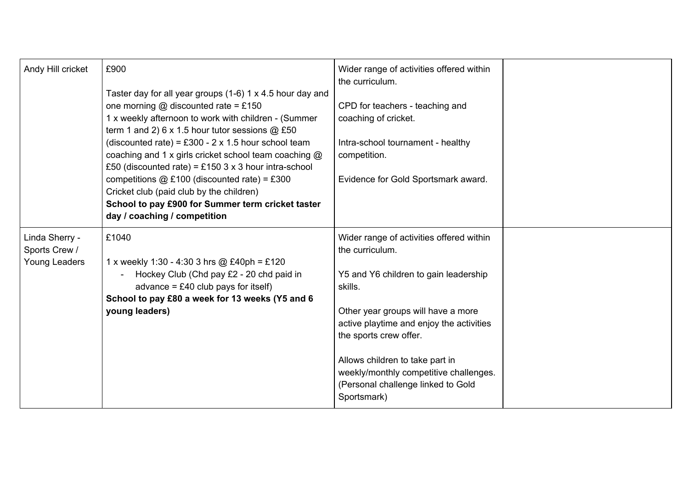| Andy Hill cricket                                | £900<br>Taster day for all year groups (1-6) 1 x 4.5 hour day and<br>one morning $@$ discounted rate = £150<br>1 x weekly afternoon to work with children - (Summer<br>term 1 and 2) $6 \times 1.5$ hour tutor sessions $@$ £50<br>(discounted rate) = £300 - $2 \times 1.5$ hour school team<br>coaching and 1 x girls cricket school team coaching @<br>£50 (discounted rate) = £150 3 x 3 hour intra-school<br>competitions $@E100$ (discounted rate) = £300<br>Cricket club (paid club by the children)<br>School to pay £900 for Summer term cricket taster<br>day / coaching / competition | Wider range of activities offered within<br>the curriculum.<br>CPD for teachers - teaching and<br>coaching of cricket.<br>Intra-school tournament - healthy<br>competition.<br>Evidence for Gold Sportsmark award.                                                                                                                                            |  |
|--------------------------------------------------|--------------------------------------------------------------------------------------------------------------------------------------------------------------------------------------------------------------------------------------------------------------------------------------------------------------------------------------------------------------------------------------------------------------------------------------------------------------------------------------------------------------------------------------------------------------------------------------------------|---------------------------------------------------------------------------------------------------------------------------------------------------------------------------------------------------------------------------------------------------------------------------------------------------------------------------------------------------------------|--|
| Linda Sherry -<br>Sports Crew /<br>Young Leaders | £1040<br>1 x weekly 1:30 - 4:30 3 hrs @ £40ph = £120<br>Hockey Club (Chd pay £2 - 20 chd paid in<br>advance = $£40$ club pays for itself)<br>School to pay £80 a week for 13 weeks (Y5 and 6<br>young leaders)                                                                                                                                                                                                                                                                                                                                                                                   | Wider range of activities offered within<br>the curriculum.<br>Y5 and Y6 children to gain leadership<br>skills.<br>Other year groups will have a more<br>active playtime and enjoy the activities<br>the sports crew offer.<br>Allows children to take part in<br>weekly/monthly competitive challenges.<br>(Personal challenge linked to Gold<br>Sportsmark) |  |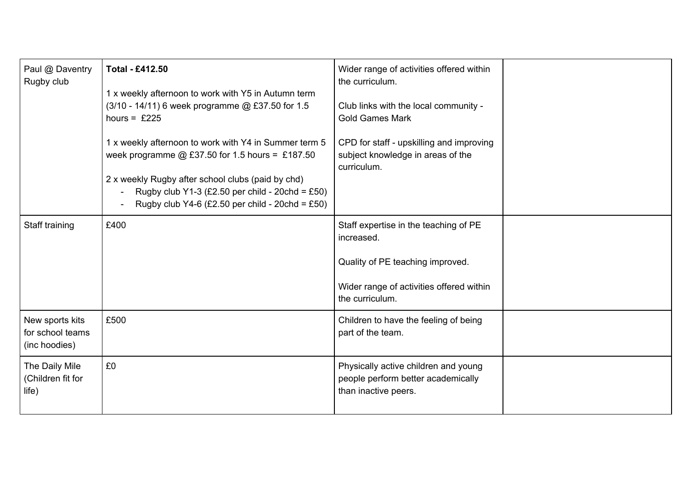| Paul @ Daventry<br>Rugby club                        | <b>Total - £412.50</b><br>1 x weekly afternoon to work with Y5 in Autumn term<br>(3/10 - 14/11) 6 week programme @ £37.50 for 1.5<br>hours = $£225$<br>1 x weekly afternoon to work with Y4 in Summer term 5<br>week programme @ £37.50 for 1.5 hours = £187.50<br>2 x weekly Rugby after school clubs (paid by chd)<br>Rugby club Y1-3 (£2.50 per child - 20chd = £50)<br>Rugby club Y4-6 (£2.50 per child - 20chd = £50) | Wider range of activities offered within<br>the curriculum.<br>Club links with the local community -<br><b>Gold Games Mark</b><br>CPD for staff - upskilling and improving<br>subject knowledge in areas of the<br>curriculum. |  |
|------------------------------------------------------|----------------------------------------------------------------------------------------------------------------------------------------------------------------------------------------------------------------------------------------------------------------------------------------------------------------------------------------------------------------------------------------------------------------------------|--------------------------------------------------------------------------------------------------------------------------------------------------------------------------------------------------------------------------------|--|
| Staff training                                       | £400                                                                                                                                                                                                                                                                                                                                                                                                                       | Staff expertise in the teaching of PE<br>increased.<br>Quality of PE teaching improved.<br>Wider range of activities offered within<br>the curriculum.                                                                         |  |
| New sports kits<br>for school teams<br>(inc hoodies) | £500                                                                                                                                                                                                                                                                                                                                                                                                                       | Children to have the feeling of being<br>part of the team.                                                                                                                                                                     |  |
| The Daily Mile<br>(Children fit for<br>life)         | £0                                                                                                                                                                                                                                                                                                                                                                                                                         | Physically active children and young<br>people perform better academically<br>than inactive peers.                                                                                                                             |  |